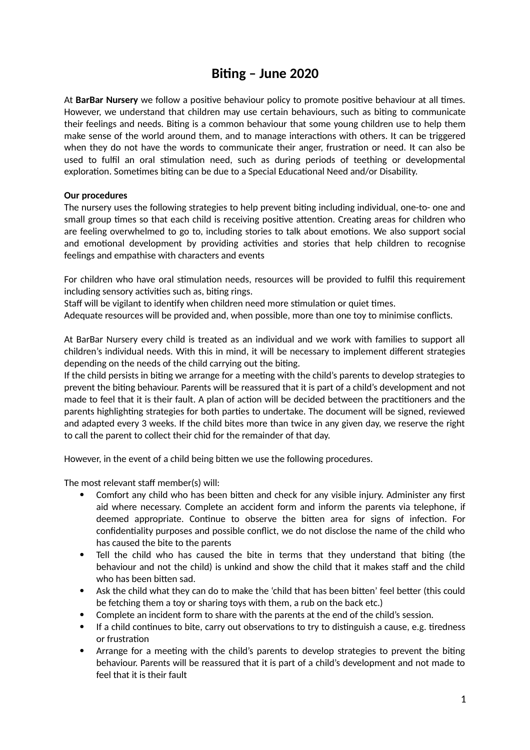## **Biting – June 2020**

At **BarBar Nursery** we follow a positive behaviour policy to promote positive behaviour at all times. However, we understand that children may use certain behaviours, such as biting to communicate their feelings and needs. Biting is a common behaviour that some young children use to help them make sense of the world around them, and to manage interactions with others. It can be triggered when they do not have the words to communicate their anger, frustration or need. It can also be used to fulfil an oral stimulation need, such as during periods of teething or developmental exploration. Sometimes biting can be due to a Special Educational Need and/or Disability.

## **Our procedures**

The nursery uses the following strategies to help prevent biting including individual, one-to- one and small group times so that each child is receiving positive attention. Creating areas for children who are feeling overwhelmed to go to, including stories to talk about emotions. We also support social and emotional development by providing activities and stories that help children to recognise feelings and empathise with characters and events

For children who have oral stimulation needs, resources will be provided to fulfil this requirement including sensory activities such as, biting rings.

Staff will be vigilant to identify when children need more stimulation or quiet times.

Adequate resources will be provided and, when possible, more than one toy to minimise conflicts.

At BarBar Nursery every child is treated as an individual and we work with families to support all children's individual needs. With this in mind, it will be necessary to implement different strategies depending on the needs of the child carrying out the biting.

If the child persists in biting we arrange for a meeting with the child's parents to develop strategies to prevent the biting behaviour. Parents will be reassured that it is part of a child's development and not made to feel that it is their fault. A plan of action will be decided between the practitioners and the parents highlighting strategies for both parties to undertake. The document will be signed, reviewed and adapted every 3 weeks. If the child bites more than twice in any given day, we reserve the right to call the parent to collect their chid for the remainder of that day.

However, in the event of a child being bitten we use the following procedures.

The most relevant staff member(s) will:

- Comfort any child who has been bitten and check for any visible injury. Administer any first aid where necessary. Complete an accident form and inform the parents via telephone, if deemed appropriate. Continue to observe the bitten area for signs of infection. For confidentiality purposes and possible conflict, we do not disclose the name of the child who has caused the bite to the parents
- Tell the child who has caused the bite in terms that they understand that biting (the behaviour and not the child) is unkind and show the child that it makes staff and the child who has been bitten sad.
- Ask the child what they can do to make the 'child that has been bitten' feel better (this could be fetching them a toy or sharing toys with them, a rub on the back etc.)
- Complete an incident form to share with the parents at the end of the child's session.
- If a child continues to bite, carry out observations to try to distinguish a cause, e.g. tiredness or frustration
- Arrange for a meeting with the child's parents to develop strategies to prevent the biting behaviour. Parents will be reassured that it is part of a child's development and not made to feel that it is their fault